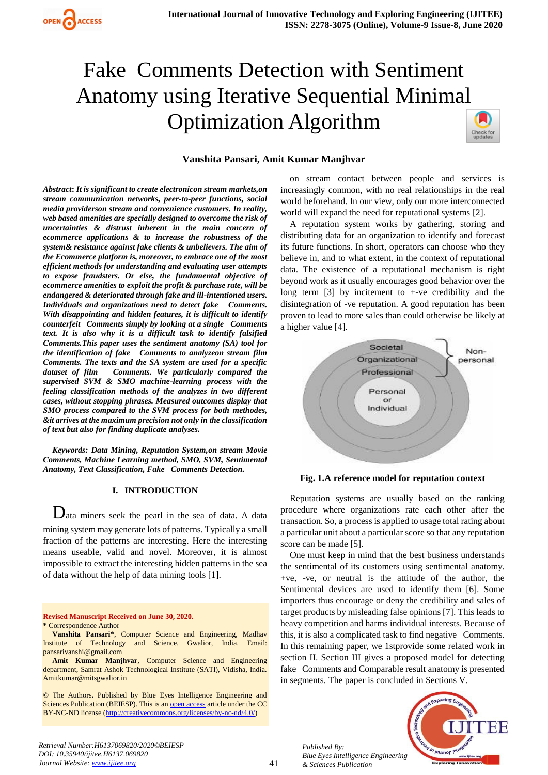

# Fake Comments Detection with Sentiment Anatomy using Iterative Sequential Minimal Optimization Algorithm



## **Vanshita Pansari, Amit Kumar Manjhvar**

*Abstract***:** *It is significant to create electronicon stream markets,on stream communication networks, peer-to-peer functions, social media providerson stream and convenience customers. In reality, web based amenities are specially designed to overcome the risk of uncertainties & distrust inherent in the main concern of ecommerce applications & to increase the robustness of the system& resistance against fake clients & unbelievers. The aim of the Ecommerce platform is, moreover, to embrace one of the most efficient methods for understanding and evaluating user attempts to expose fraudsters. Or else, the fundamental objective of ecommerce amenities to exploit the profit & purchase rate, will be endangered & deteriorated through fake and ill-intentioned users. Individuals and organizations need to detect fake Comments. With disappointing and hidden features, it is difficult to identify counterfeit Comments simply by looking at a single Comments text. It is also why it is a difficult task to identify falsified Comments.This paper uses the sentiment anatomy (SA) tool for the identification of fake Comments to analyzeon stream film Comments. The texts and the SA system are used for a specific dataset of film Comments. We particularly compared the supervised SVM & SMO machine-learning process with the feeling classification methods of the analyzes in two different cases, without stopping phrases. Measured outcomes display that SMO process compared to the SVM process for both methodes, &it arrives at the maximum precision not only in the classification of text but also for finding duplicate analyses.*

*Keywords: Data Mining, Reputation System,on stream Movie Comments, Machine Learning method, SMO, SVM, Sentimental Anatomy, Text Classification, Fake Comments Detection.* 

#### **I. INTRODUCTION**

Data miners seek the pearl in the sea of data. A data mining system may generate lots of patterns. Typically a small fraction of the patterns are interesting. Here the interesting means useable, valid and novel. Moreover, it is almost impossible to extract the interesting hidden patterns in the sea of data without the help of data mining tools [1].

**Revised Manuscript Received on June 30, 2020. \*** Correspondence Author

**Amit Kumar Manjhvar**, Computer Science and Engineering department, Samrat Ashok Technological Institute (SATI), Vidisha, India. Amitkumar@mitsgwalior.in

© The Authors. Published by Blue Eyes Intelligence Engineering and Sciences Publication (BEIESP). This is an [open access](https://www.openaccess.nl/en/open-publications) article under the CC BY-NC-ND license [\(http://creativecommons.org/licenses/by-nc-nd/4.0/\)](http://creativecommons.org/licenses/by-nc-nd/4.0/)

on stream contact between people and services is increasingly common, with no real relationships in the real world beforehand. In our view, only our more interconnected world will expand the need for reputational systems [2].

A reputation system works by gathering, storing and distributing data for an organization to identify and forecast its future functions. In short, operators can choose who they believe in, and to what extent, in the context of reputational data. The existence of a reputational mechanism is right beyond work as it usually encourages good behavior over the long term [3] by incitement to +-ve credibility and the disintegration of -ve reputation. A good reputation has been proven to lead to more sales than could otherwise be likely at a higher value [4].



**Fig. 1.A reference model for reputation context**

Reputation systems are usually based on the ranking procedure where organizations rate each other after the transaction. So, a process is applied to usage total rating about a particular unit about a particular score so that any reputation score can be made [5].

One must keep in mind that the best business understands the sentimental of its customers using sentimental anatomy. +ve, -ve, or neutral is the attitude of the author, the Sentimental devices are used to identify them [6]. Some importers thus encourage or deny the credibility and sales of target products by misleading false opinions [7]. This leads to heavy competition and harms individual interests. Because of this, it is also a complicated task to find negative Comments. In this remaining paper, we 1stprovide some related work in section II. Section III gives a proposed model for detecting fake Comments and Comparable result anatomy is presented in segments. The paper is concluded in Sections V.

*Published By: Blue Eyes Intelligence Engineering & Sciences Publication* 



**Vanshita Pansari\***, Computer Science and Engineering, Madhav Institute of Technology and Science, Gwalior, India. Email: pansarivanshi@gmail.com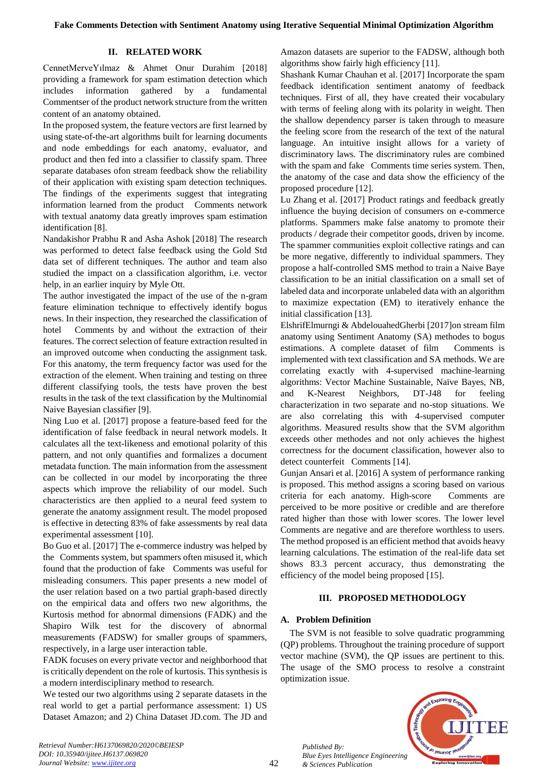# **II. RELATED WORK**

CennetMerveYılmaz & Ahmet Onur Durahim [2018] providing a framework for spam estimation detection which includes information gathered by a fundamental Commentser of the product network structure from the written content of an anatomy obtained.

In the proposed system, the feature vectors are first learned by using state-of-the-art algorithms built for learning documents and node embeddings for each anatomy, evaluator, and product and then fed into a classifier to classify spam. Three separate databases ofon stream feedback show the reliability of their application with existing spam detection techniques. The findings of the experiments suggest that integrating information learned from the product Comments network with textual anatomy data greatly improves spam estimation identification [8].

Nandakishor Prabhu R and Asha Ashok [2018] The research was performed to detect false feedback using the Gold Std data set of different techniques. The author and team also studied the impact on a classification algorithm, i.e. vector help, in an earlier inquiry by Myle Ott.

The author investigated the impact of the use of the n-gram feature elimination technique to effectively identify bogus news. In their inspection, they researched the classification of hotel Comments by and without the extraction of their features. The correct selection of feature extraction resulted in an improved outcome when conducting the assignment task. For this anatomy, the term frequency factor was used for the extraction of the element. When training and testing on three different classifying tools, the tests have proven the best results in the task of the text classification by the Multinomial Naive Bayesian classifier [9].

Ning Luo et al. [2017] propose a feature-based feed for the identification of false feedback in neural network models. It calculates all the text-likeness and emotional polarity of this pattern, and not only quantifies and formalizes a document metadata function. The main information from the assessment can be collected in our model by incorporating the three aspects which improve the reliability of our model. Such characteristics are then applied to a neural feed system to generate the anatomy assignment result. The model proposed is effective in detecting 83% of fake assessments by real data experimental assessment [10].

Bo Guo et al. [2017] The e-commerce industry was helped by the Comments system, but spammers often misused it, which found that the production of fake Comments was useful for misleading consumers. This paper presents a new model of the user relation based on a two partial graph-based directly on the empirical data and offers two new algorithms, the Kurtosis method for abnormal dimensions (FADK) and the Shapiro Wilk test for the discovery of abnormal measurements (FADSW) for smaller groups of spammers, respectively, in a large user interaction table.

FADK focuses on every private vector and neighborhood that is critically dependent on the role of kurtosis. This synthesis is a modern interdisciplinary method to research.

We tested our two algorithms using 2 separate datasets in the real world to get a partial performance assessment: 1) US Dataset Amazon; and 2) China Dataset JD.com. The JD and Amazon datasets are superior to the FADSW, although both algorithms show fairly high efficiency [11].

Shashank Kumar Chauhan et al. [2017] Incorporate the spam feedback identification sentiment anatomy of feedback techniques. First of all, they have created their vocabulary with terms of feeling along with its polarity in weight. Then the shallow dependency parser is taken through to measure the feeling score from the research of the text of the natural language. An intuitive insight allows for a variety of discriminatory laws. The discriminatory rules are combined with the spam and fake Comments time series system. Then, the anatomy of the case and data show the efficiency of the proposed procedure [12].

Lu Zhang et al. [2017] Product ratings and feedback greatly influence the buying decision of consumers on e-commerce platforms. Spammers make false anatomy to promote their products / degrade their competitor goods, driven by income. The spammer communities exploit collective ratings and can be more negative, differently to individual spammers. They propose a half-controlled SMS method to train a Naive Baye classification to be an initial classification on a small set of labeled data and incorporate unlabeled data with an algorithm to maximize expectation (EM) to iteratively enhance the initial classification [13].

ElshrifElmurngi & AbdelouahedGherbi [2017]on stream film anatomy using Sentiment Anatomy (SA) methodes to bogus estimations. A complete dataset of film Comments is implemented with text classification and SA methods. We are correlating exactly with 4-supervised machine-learning algorithms: Vector Machine Sustainable, Naïve Bayes, NB, and K-Nearest Neighbors, DT-J48 for feeling characterization in two separate and no-stop situations. We are also correlating this with 4-supervised computer algorithms. Measured results show that the SVM algorithm exceeds other methodes and not only achieves the highest correctness for the document classification, however also to detect counterfeit Comments [14].

Gunjan Ansari et al. [2016] A system of performance ranking is proposed. This method assigns a scoring based on various criteria for each anatomy. High-score Comments are perceived to be more positive or credible and are therefore rated higher than those with lower scores. The lower level Comments are negative and are therefore worthless to users. The method proposed is an efficient method that avoids heavy learning calculations. The estimation of the real-life data set shows 83.3 percent accuracy, thus demonstrating the efficiency of the model being proposed [15].

# **III. PROPOSED METHODOLOGY**

# **A. Problem Definition**

*Published By:*

*& Sciences Publication* 

The SVM is not feasible to solve quadratic programming (QP) problems. Throughout the training procedure of support vector machine (SVM), the QP issues are pertinent to this. The usage of the SMO process to resolve a constraint optimization issue.



*Retrieval Number:H6137069820/2020©BEIESP DOI: 10.35940/ijitee.H6137.069820 Journal Website: www.ijitee.org*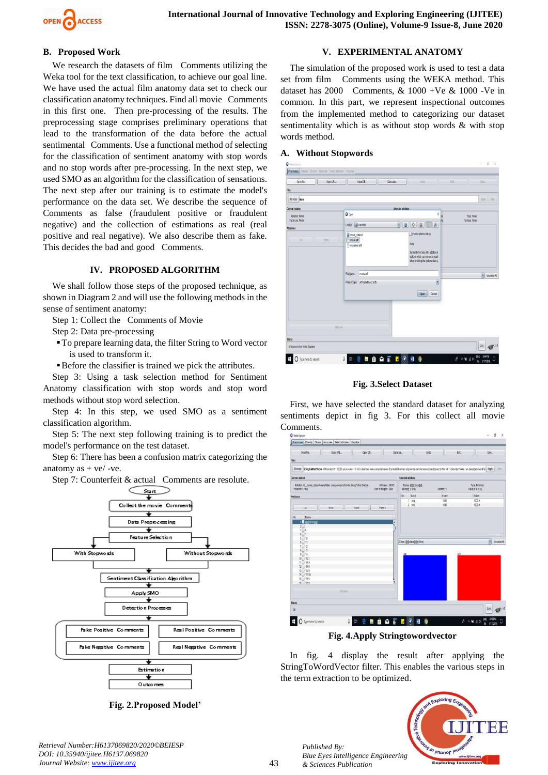

## **B. Proposed Work**

We research the datasets of film Comments utilizing the Weka tool for the text classification, to achieve our goal line. We have used the actual film anatomy data set to check our classification anatomy techniques. Find all movie Comments in this first one. Then pre-processing of the results. The preprocessing stage comprises preliminary operations that lead to the transformation of the data before the actual sentimental Comments. Use a functional method of selecting for the classification of sentiment anatomy with stop words and no stop words after pre-processing. In the next step, we used SMO as an algorithm for the classification of sensations. The next step after our training is to estimate the model's performance on the data set. We describe the sequence of Comments as false (fraudulent positive or fraudulent negative) and the collection of estimations as real (real positive and real negative). We also describe them as fake. This decides the bad and good Comments.

## **IV. PROPOSED ALGORITHM**

We shall follow those steps of the proposed technique, as shown in Diagram 2 and will use the following methods in the sense of sentiment anatomy:

- Step 1: Collect the Comments of Movie
- Step 2: Data pre-processing
- To prepare learning data, the filter String to Word vector is used to transform it.
- Before the classifier is trained we pick the attributes.

Step 3: Using a task selection method for Sentiment Anatomy classification with stop words and stop word methods without stop word selection.

Step 4: In this step, we used SMO as a sentiment classification algorithm.

Step 5: The next step following training is to predict the model's performance on the test dataset.

Step 6: There has been a confusion matrix categorizing the anatomy as  $+$  ve/ -ve.

Step 7: Counterfeit & actual Comments are resolute.



**Fig. 2.Proposed Model'**

# **V. EXPERIMENTAL ANATOMY**

The simulation of the proposed work is used to test a data set from film Comments using the WEKA method. This dataset has 2000 Comments, & 1000 +Ve & 1000 -Ve in common. In this part, we represent inspectional outcomes from the implemented method to categorizing our dataset sentimentality which is as without stop words & with stop words method.

#### **A. Without Stopwords**



**Fig. 3.Select Dataset**

First, we have selected the standard dataset for analyzing sentiments depict in fig 3. For this collect all movie Comments.



**Fig. 4.Apply Stringtowordvector**

In fig. 4 display the result after applying the StringToWordVector filter. This enables the various steps in the term extraction to be optimized.



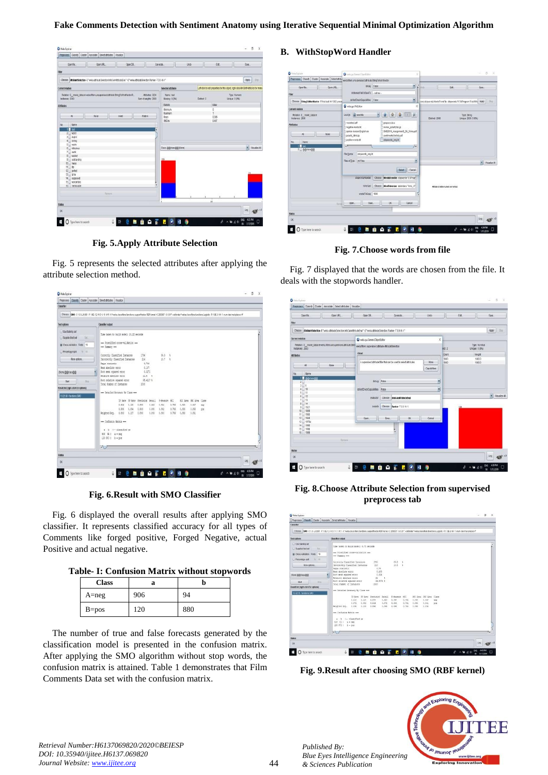## **Fake Comments Detection with Sentiment Anatomy using Iterative Sequential Minimal Optimization Algorithm**

|                  |                                                                                                                                                                                                             |      | Preprocess Classify Cluster Associate Select attributes Visualize                |       |         |                                                                                                                    |                              |                                                                                         |                       |                     |                                 |       |              |
|------------------|-------------------------------------------------------------------------------------------------------------------------------------------------------------------------------------------------------------|------|----------------------------------------------------------------------------------|-------|---------|--------------------------------------------------------------------------------------------------------------------|------------------------------|-----------------------------------------------------------------------------------------|-----------------------|---------------------|---------------------------------|-------|--------------|
|                  | Deen file                                                                                                                                                                                                   |      | Open LFL                                                                         |       | Open DB |                                                                                                                    | Generate.                    | Usdo                                                                                    |                       | Edd                 |                                 | San.  |              |
| Fitter           |                                                                                                                                                                                                             |      |                                                                                  |       |         |                                                                                                                    |                              |                                                                                         |                       |                     |                                 |       |              |
|                  |                                                                                                                                                                                                             |      |                                                                                  |       |         | Choose AmituteSelection-E"weka athbuteSelection.http://ain/4thbuteEngl"-S"weka.athbuteEelection.franker-T.0.0-N-1" |                              |                                                                                         |                       |                     |                                 | Apply | <b>Ohn</b>   |
| Current relation |                                                                                                                                                                                                             |      |                                                                                  |       |         |                                                                                                                    | Selected attribute           | Left-click to edit properties for this object, right-click/MI+Shift+left-click for menu |                       |                     |                                 |       |              |
| Instances: 2000  |                                                                                                                                                                                                             |      | Relation: E mode dataset-weks.filters.unsupervised.athtbute.StringToWordVector-R |       |         | Attitudes: 3234<br>Sum of weights: 2000                                                                            | Name had<br>Missing: 0 (0%)  |                                                                                         | Distinct <sub>2</sub> |                     | Type: Nameric<br>Unique: 0.0761 |       |              |
| <b>Atributes</b> |                                                                                                                                                                                                             |      |                                                                                  |       |         |                                                                                                                    | <b>Statistic</b>             |                                                                                         |                       | Vau                 |                                 |       |              |
|                  |                                                                                                                                                                                                             |      |                                                                                  |       |         |                                                                                                                    | Meinun<br>Maximum            |                                                                                         |                       | $\overline{0}$<br>ï |                                 |       |              |
|                  | H.                                                                                                                                                                                                          | None |                                                                                  | Invet |         | Patient                                                                                                            | Mean                         |                                                                                         |                       | 0.385               |                                 |       |              |
|                  |                                                                                                                                                                                                             |      |                                                                                  |       |         |                                                                                                                    | <b>StdDay</b>                |                                                                                         |                       | 0.487               |                                 |       |              |
|                  | $5 \equiv$ waste<br>$6$ = $ndculos$<br>$7$ and<br>$8$ = washid<br>$9 -$ outstanding<br>$10$ $\mu$ mess<br>$11$   He<br>$12$ period.<br>$13$ $\Box$ lame<br>14 Supposed<br>15 is wonderfully<br>16 memorable |      |                                                                                  |       |         | ĩ,                                                                                                                 | Class @@class@@ (Nom)<br>129 |                                                                                         |                       |                     |                                 |       | Visualze All |
| <b>Status</b>    |                                                                                                                                                                                                             |      | RETTINE                                                                          |       |         |                                                                                                                    |                              |                                                                                         |                       | ü                   |                                 |       |              |
| <b>OK</b>        |                                                                                                                                                                                                             |      |                                                                                  |       |         |                                                                                                                    |                              |                                                                                         |                       |                     |                                 | Log   |              |

**Fig. 5.Apply Attribute Selection**

Fig. 5 represents the selected attributes after applying the attribute selection method.

| Weks Explorer<br>Preprocess Classify Cluster Associate Select atributes Visualize | -10                                                                                                                                                                                                             |
|-----------------------------------------------------------------------------------|-----------------------------------------------------------------------------------------------------------------------------------------------------------------------------------------------------------------|
| Classifier                                                                        |                                                                                                                                                                                                                 |
|                                                                                   |                                                                                                                                                                                                                 |
|                                                                                   | Choose  SMO -C 1.0 -L 0.001-P 1.0E-12-N 0-V -1-W1 -K 'weka classifiers functions support/ector RBFKernel-C 250007-0 0.01"-calibrator "verka classifiers functions Logistic -R 1.0E-B-M -1 -rum decimal places # |
| Testophons                                                                        | <b>Classifier output</b>                                                                                                                                                                                        |
|                                                                                   |                                                                                                                                                                                                                 |
| Use baining set                                                                   | Time taken to huild model: 10.22 seconds.                                                                                                                                                                       |
| Supplied test set<br>16                                                           | *** Stratified cross-validation ***                                                                                                                                                                             |
| C Cross-validation Folds 10                                                       | one Sumary and                                                                                                                                                                                                  |
| Percentage split<br>$3 - 10$                                                      |                                                                                                                                                                                                                 |
| litore options                                                                    | $63.3 - 1$<br>1786<br>Correctly Classified Instances<br>$10.7 - 1$<br>Incorrectly Classified Instances<br>214                                                                                                   |
|                                                                                   | Earne statistic<br>0.786                                                                                                                                                                                        |
| (Nom) @@class@@                                                                   | Nean absolute error<br>0.107<br>loot near squared error<br>0.3271                                                                                                                                               |
|                                                                                   | $21.4 - 1$<br>Eslative absolute error                                                                                                                                                                           |
| Blat<br>this.                                                                     | 65,4217.1<br>foot relative squared error<br><b>Jotal Husber of Instances</b><br>3160                                                                                                                            |
| Result list (right-click for options)                                             |                                                                                                                                                                                                                 |
| 162518-fandoro.SMD                                                                | --- Detailed Accuracy By Class ---                                                                                                                                                                              |
|                                                                                   | TP Rate FP Rate Precision Recall<br>F-Neasure NCC<br>RCC Area FRC Area Class                                                                                                                                    |
|                                                                                   | 0.926<br>0.120<br>0.881<br>0.906<br>0.894<br>0.786<br>0.893<br>0.847<br>182                                                                                                                                     |
|                                                                                   | 0.892<br>0.766<br>0.893<br>6,880<br>0.014<br>0.501<br>0.985<br>0.855<br>pos<br>0.091<br>Weighted Avg.<br>0.892<br>0.107<br>0.891<br>0.091<br>0.716<br>0.193<br>0.851                                            |
|                                                                                   |                                                                                                                                                                                                                 |
|                                                                                   | *** Confusion Matrix ***                                                                                                                                                                                        |
|                                                                                   | a b <-- classified as                                                                                                                                                                                           |
|                                                                                   | 906 94   a = sep<br>120 800   0 = 000                                                                                                                                                                           |
|                                                                                   |                                                                                                                                                                                                                 |
|                                                                                   | 17<br>$\rightarrow$                                                                                                                                                                                             |
| <b>Status</b>                                                                     |                                                                                                                                                                                                                 |
| <b>OK</b>                                                                         | Log                                                                                                                                                                                                             |
|                                                                                   |                                                                                                                                                                                                                 |
| O Type here to search<br>H                                                        | <b>BAFROHO</b><br>9<br>a.<br>랆<br>Ŧ                                                                                                                                                                             |
|                                                                                   | W.<br>1/17/2019                                                                                                                                                                                                 |

**Fig. 6.Result with SMO Classifier**

Fig. 6 displayed the overall results after applying SMO classifier. It represents classified accuracy for all types of Comments like forged positive, Forged Negative, actual Positive and actual negative.

**Table- I: Confusion Matrix without stopwords**

| <b>Class</b> | a   |     |  |  |  |
|--------------|-----|-----|--|--|--|
| $A = neg$    | 906 | 94  |  |  |  |
| $B = pos$    | 120 | 880 |  |  |  |

The number of true and false forecasts generated by the classification model is presented in the confusion matrix. After applying the SMO algorithm without stop words, the confusion matrix is attained. Table 1 demonstrates that Film Comments Data set with the confusion matrix.

## **B. WithStopWord Handler**



**Fig. 7.Choose words from file**

Fig. 7 displayed that the words are chosen from the file. It deals with the stopwords handler.

| Open LRL<br><b>Coan file</b>                                                                                       | Open DB.                                             | <b>Ganarata</b><br>۰                                                 | Usdo   | Edd    | Save.                           |              |
|--------------------------------------------------------------------------------------------------------------------|------------------------------------------------------|----------------------------------------------------------------------|--------|--------|---------------------------------|--------------|
| Titler                                                                                                             |                                                      |                                                                      |        |        |                                 |              |
| Choose AmituneSelection-E"weis atributeDetection Into LinAtributeDval"-S"weis attributeDetection Ranker-T 0.0-N-1" |                                                      |                                                                      |        |        | Apply                           | iths         |
| Current relation                                                                                                   | Weba gui Generic ObjectEditor                        |                                                                      | x      |        |                                 |              |
| Relation: E movie datasel-weisa.filters.unsupervised.atribute.Strin<br>Instances: 2000                             | weka filters supervised attribute Atribute Selection |                                                                      |        | not 2  | Tipe: Nominal<br>Unique: 0.(0%) |              |
| <b>Attributes</b>                                                                                                  | About                                                |                                                                      |        | Court  | <b>Waight</b>                   |              |
|                                                                                                                    |                                                      |                                                                      |        | 1003   | 1000.0                          |              |
| Ali<br>None                                                                                                        |                                                      | A supervised attribute filter that can be used to select attributes. | 1003   | 1000.0 |                                 |              |
|                                                                                                                    |                                                      |                                                                      |        |        |                                 |              |
| Name<br>No.                                                                                                        |                                                      |                                                                      |        |        |                                 |              |
| 1 diddisseg                                                                                                        |                                                      |                                                                      |        |        |                                 |              |
| 2 <sub>1</sub>                                                                                                     |                                                      | debug False                                                          | ۲      |        |                                 |              |
| $3 \square 0$                                                                                                      | doNotCheckCapabilities False                         |                                                                      | ×      |        |                                 |              |
| $4 \times 10$<br>$5 \equiv 11$                                                                                     |                                                      |                                                                      |        |        |                                 |              |
| $6$ $12$                                                                                                           | <b>systuator</b>                                     | Choose InfoGainAttributeEval                                         |        |        |                                 | Visualze Atl |
| $\begin{array}{c} 7 \overline{\bigcup} & 13 \\ 8 \overline{\bigcup} & 14 \end{array}$                              |                                                      |                                                                      |        |        |                                 |              |
| $9 - 1521$                                                                                                         | <b>MAKER</b>                                         | Choose Ranker T 80-N-1                                               |        |        |                                 |              |
| 10 1889                                                                                                            |                                                      |                                                                      |        |        |                                 |              |
| 11 1900                                                                                                            |                                                      |                                                                      |        |        |                                 |              |
| $12$ 1949<br>13 1970s                                                                                              | Open.                                                | <b>OK</b><br><b>Saw</b>                                              | Cancel |        |                                 |              |
| 14 1996                                                                                                            |                                                      |                                                                      |        |        |                                 |              |
| 15 1998                                                                                                            |                                                      | ł,                                                                   |        |        |                                 |              |
| 15 1999                                                                                                            |                                                      |                                                                      |        |        |                                 |              |
| Himme                                                                                                              |                                                      |                                                                      |        |        |                                 |              |
| <b>Status</b>                                                                                                      |                                                      |                                                                      |        |        |                                 |              |
| <b>OK</b>                                                                                                          |                                                      |                                                                      |        |        | Log                             |              |

**Fig. 8.Choose Attribute Selection from supervised preprocess tab**

| Pregrocess   Classife   Claster   Associate   Select atributes   Visualize                                                                                                                                      |                                                                            |                                         |                |                                           |                |                        |                |                |                                    |     |  |     |    |
|-----------------------------------------------------------------------------------------------------------------------------------------------------------------------------------------------------------------|----------------------------------------------------------------------------|-----------------------------------------|----------------|-------------------------------------------|----------------|------------------------|----------------|----------------|------------------------------------|-----|--|-----|----|
| Classifier                                                                                                                                                                                                      |                                                                            |                                         |                |                                           |                |                        |                |                |                                    |     |  |     |    |
| Choose  SMO -C 1.0-L 0.001 -P 1.0E-12-N 0-V-1-W1 -K"weka.classifiers.functions.support/ector.RBF/ernel -C 250007 -0.0.01" -calibrator "weka.classifiers.functions.Lopistic -R 1.0E-8-M -1 -num-decimal-places # |                                                                            |                                         |                |                                           |                |                        |                |                |                                    |     |  |     |    |
|                                                                                                                                                                                                                 |                                                                            |                                         |                |                                           |                |                        |                |                |                                    |     |  |     |    |
| <b>Test options</b>                                                                                                                                                                                             | <b>Classifier</b> cutput                                                   |                                         |                |                                           |                |                        |                |                |                                    |     |  |     |    |
| Use training set<br>Supplied fest set<br>Sol.                                                                                                                                                                   |                                                                            | Time taken to huild model: 4.75 seconds |                |                                           |                |                        |                |                |                                    |     |  |     |    |
| C Cross-validation Folds 13<br>Percentage note<br>$36 - 04$                                                                                                                                                     | --- Stratified cross-validation ---<br>one Sumary ass                      |                                         |                |                                           |                |                        |                |                |                                    |     |  |     |    |
|                                                                                                                                                                                                                 | Correctly Classified Instances                                             |                                         |                | 1795                                      |                | 64.6                   | ٠              |                |                                    |     |  |     |    |
| Main cotions                                                                                                                                                                                                    | Incorrectly Classified Instances<br>Earne statistic<br>Nean absolute error |                                         |                | $210 -$<br>0.78<br>0.105                  |                | 30.5 8<br>u vr         |                |                |                                    |     |  |     |    |
| (Nom) @@dass@@                                                                                                                                                                                                  | Root mean squared error<br>۶<br>Salative absolute error                    |                                         |                | 0.334<br>22                               |                |                        |                |                |                                    |     |  |     |    |
| <b>Star</b><br>this                                                                                                                                                                                             | foot relative squared error<br><b>Socal Super of Instances</b>             |                                         |                | 44.0074.9<br>3555                         |                |                        |                |                |                                    |     |  |     |    |
| Result Int (right-click for options)                                                                                                                                                                            |                                                                            |                                         |                |                                           |                |                        |                |                |                                    |     |  |     |    |
| 16:42:15 - functions SMO                                                                                                                                                                                        | --- Detailed Accuracy by Class ---                                         |                                         |                |                                           |                |                        |                |                |                                    |     |  |     |    |
|                                                                                                                                                                                                                 |                                                                            | 0.918                                   | 0.128          | TP Rate FP Rate Precision Recall<br>0.878 | 0.918          | F-Neasure HCC<br>0.897 | 0.791          | 0.895          | ROC Area, PRC Area, Class<br>0.847 | 282 |  |     |    |
|                                                                                                                                                                                                                 | Weighted Avg.                                                              | 0.872<br>0.895                          | 0.082<br>0.105 | 0.914<br>0.896                            | 0.872<br>0.895 | 0.893.<br>0.895        | 0.751<br>0.751 | 0.895<br>0.895 | 0.061<br>0.154                     | tos |  |     |    |
|                                                                                                                                                                                                                 |                                                                            |                                         |                |                                           |                |                        |                |                |                                    |     |  |     |    |
|                                                                                                                                                                                                                 | *** Confusion Natrix ***                                                   |                                         |                |                                           |                |                        |                |                |                                    |     |  |     |    |
|                                                                                                                                                                                                                 | a b <-- classified as                                                      |                                         |                |                                           |                |                        |                |                |                                    |     |  |     |    |
|                                                                                                                                                                                                                 | 918 82   a = neg<br>128 872   0 = 009                                      |                                         |                |                                           |                |                        |                |                |                                    |     |  |     |    |
|                                                                                                                                                                                                                 |                                                                            |                                         |                |                                           |                |                        |                |                |                                    |     |  |     |    |
|                                                                                                                                                                                                                 | $\cdot$                                                                    |                                         |                |                                           |                |                        |                |                |                                    |     |  |     | ٠. |
| <b>Status</b>                                                                                                                                                                                                   |                                                                            |                                         |                |                                           |                |                        |                |                |                                    |     |  |     |    |
| ok                                                                                                                                                                                                              |                                                                            |                                         |                |                                           |                |                        |                |                |                                    |     |  | Log |    |
|                                                                                                                                                                                                                 |                                                                            |                                         |                |                                           |                |                        |                |                |                                    |     |  |     |    |

**Fig. 9.Result after choosing SMO (RBF kernel)**



*Retrieval Number:H6137069820/2020©BEIESP DOI: 10.35940/ijitee.H6137.069820 Journal Website: www.ijitee.org*

*Published By:*

*& Sciences Publication*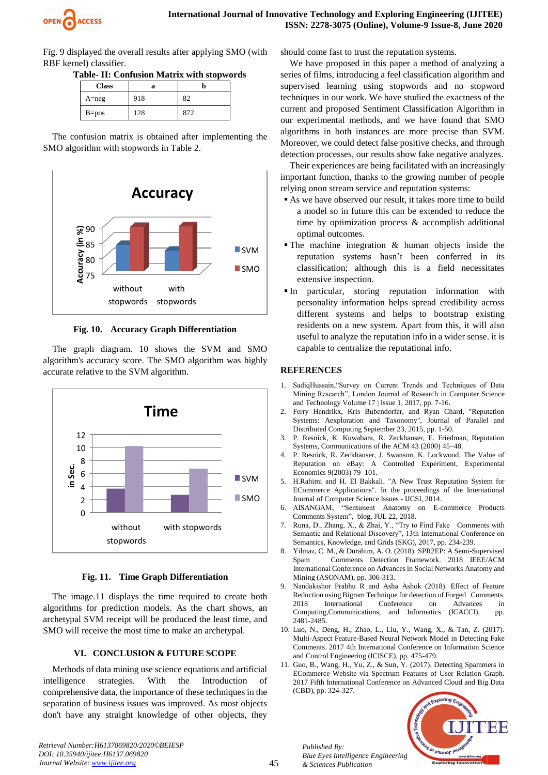

Fig. 9 displayed the overall results after applying SMO (with RBF kernel) classifier.

**Table- II: Confusion Matrix with stopwords**

| <b>Class</b> | a   | h   |  |  |  |
|--------------|-----|-----|--|--|--|
| $A = neg$    | 918 | 82  |  |  |  |
| $B = pos$    | 128 | 872 |  |  |  |

The confusion matrix is obtained after implementing the SMO algorithm with stopwords in Table 2.



**Fig. 10. Accuracy Graph Differentiation**

accurate relative to the SVM algorithm.

The graph diagram. 10 shows the SVM and SMO algorithm's accuracy score. The SMO algorithm was highly

 $\overline{0}$ 2 4 6 8 10 12 without stopwords with stopwords **in Sec. Time SVM SMO** 

**Fig. 11. Time Graph Differentiation**

The image.11 displays the time required to create both algorithms for prediction models. As the chart shows, an archetypal SVM receipt will be produced the least time, and SMO will receive the most time to make an archetypal.

## **VI. CONCLUSION & FUTURE SCOPE**

Methods of data mining use science equations and artificial intelligence strategies. With the Introduction of comprehensive data, the importance of these techniques in the separation of business issues was improved. As most objects don't have any straight knowledge of other objects, they should come fast to trust the reputation systems.

We have proposed in this paper a method of analyzing a series of films, introducing a feel classification algorithm and supervised learning using stopwords and no stopword techniques in our work. We have studied the exactness of the current and proposed Sentiment Classification Algorithm in our experimental methods, and we have found that SMO algorithms in both instances are more precise than SVM. Moreover, we could detect false positive checks, and through detection processes, our results show fake negative analyzes.

Their experiences are being facilitated with an increasingly important function, thanks to the growing number of people relying onon stream service and reputation systems:

- As we have observed our result, it takes more time to build a model so in future this can be extended to reduce the time by optimization process & accomplish additional optimal outcomes.
- $\blacksquare$  The machine integration & human objects inside the reputation systems hasn't been conferred in its classification; although this is a field necessitates extensive inspection.
- In particular, storing reputation information with personality information helps spread credibility across different systems and helps to bootstrap existing residents on a new system. Apart from this, it will also useful to analyze the reputation info in a wider sense. it is capable to centralize the reputational info.

## **REFERENCES**

- 1. SadiqHussain,"Survey on Current Trends and Techniques of Data Mining Research", London Journal of Research in Computer Science and Technology Volume 17 | Issue 1, 2017, pp. 7-16.
- 2. Ferry Hendrikx, Kris Bubendorfer, and Ryan Chard, "Reputation Systems: Aexploration and Taxonomy", Journal of Parallel and Distributed Computing September 23, 2015, pp. 1-50.
- 3. P. Resnick, K. Kuwabara, R. Zeckhauser, E. Friedman, Reputation Systems, Communications of the ACM 43 (2000) 45–48.
- 4. P. Resnick, R. Zeckhauser, J. Swanson, K. Lockwood, The Value of Reputation on eBay: A Controlled Experiment, Experimental Economics 9(2003) 79–101.
- 5. H.Rahimi and H. El Bakkali. "A New Trust Reputation System for ECommerce Applications". In the proceedings of the International Journal of Computer Science Issues - IJCSI, 2014.
- 6. AISANGAM, "Sentiment Anatomy on E-commerce Products Comments System", blog, JUL 22, 2018.
- 7. Runa, D., Zhang, X., & Zhai, Y., "Try to Find Fake Comments with Semantic and Relational Discovery", 13th International Conference on Semantics, Knowledge, and Grids (SKG), 2017, pp. 234-239.
- 8. Yilmaz, C. M., & Durahim, A. O. (2018). SPR2EP: A Semi-Supervised Spam Comments Detection Framework. 2018 IEEE/ACM International Conference on Advances in Social Networks Anatomy and Mining (ASONAM), pp. 306-313.
- Nandakishor Prabhu R and Asha Ashok (2018). Effect of Feature Reduction using Bigram Technique for detection of Forged Comments. 2018 International Conference on Advances in Computing,Communications, and Informatics (ICACCI), pp. 2481-2485.
- 10. Luo, N., Deng, H., Zhao, L., Liu, Y., Wang, X., & Tan, Z. (2017). Multi-Aspect Feature-Based Neural Network Model in Detecting Fake Comments. 2017 4th International Conference on Information Science and Control Engineering (ICISCE), pp. 475-479.
- 11. Guo, B., Wang, H., Yu, Z., & Sun, Y. (2017). Detecting Spammers in ECommerce Website via Spectrum Features of User Relation Graph. 2017 Fifth International Conference on Advanced Cloud and Big Data (CBD), pp. 324-327.



*Retrieval Number:H6137069820/2020©BEIESP DOI: 10.35940/ijitee.H6137.069820 Journal Website: www.ijitee.org*

*Published By:*

*& Sciences Publication* 

*Blue Eyes Intelligence Engineering*